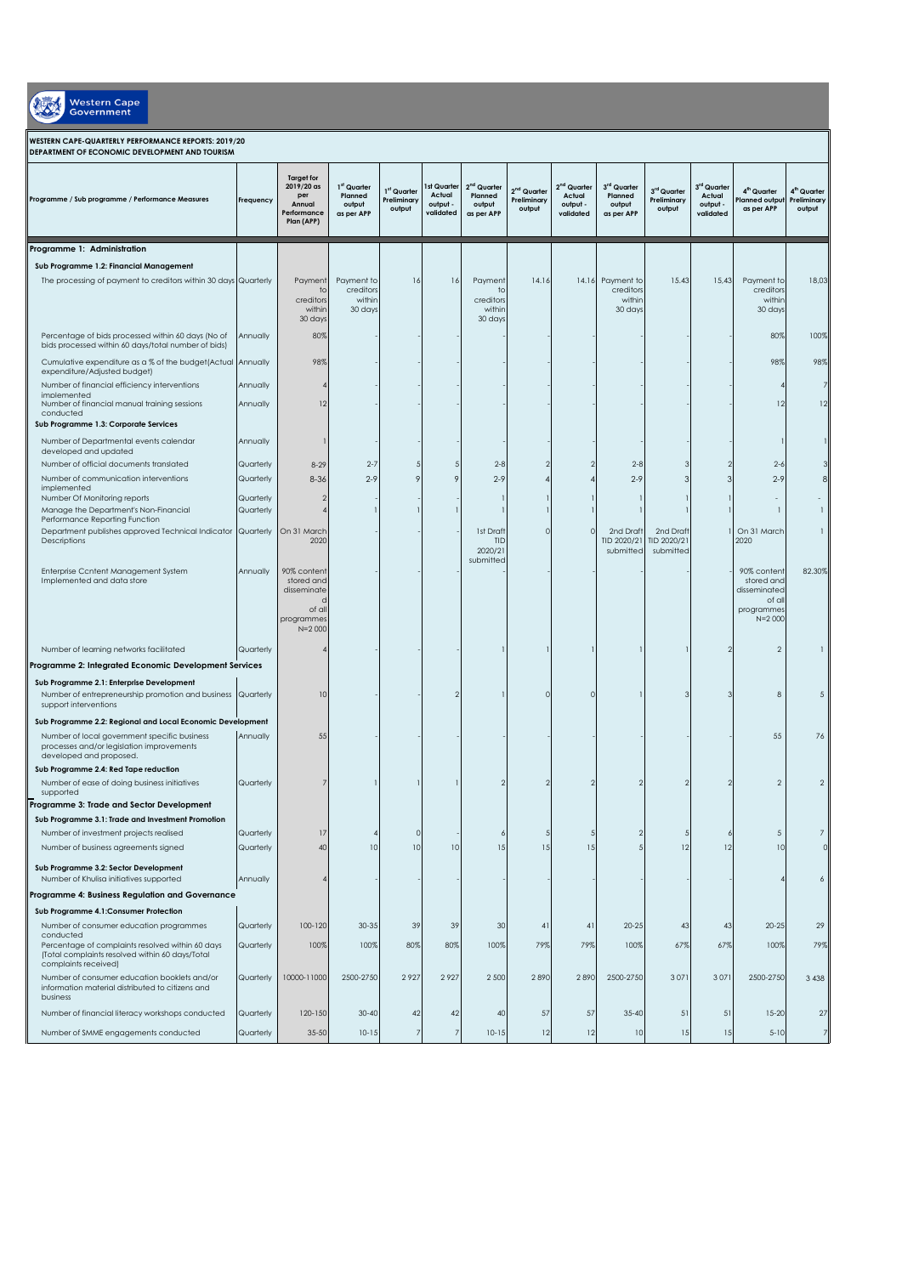Western Cape

## **WESTERN CAPE-QUARTERLY PERFORMANCE REPORTS: 2019/20 DEPARTMENT OF ECONOMIC DEVELOPMENT AND TOURISM**

| Programme / Sub programme / Performance Measures                                            | Frequency | <b>Target for</b><br>2019/20 as<br>per<br>Annual<br>Performance<br>Plan (APP) | 1 <sup>st</sup> Quarter<br>Planned<br>output<br>as per APP | 1 <sup>st</sup> Quarter<br>Preliminary<br>output | Ist Quarter<br>Actual<br>output -<br>validated | 2 <sup>nd</sup> Quarter<br>Planned<br>output<br>as per APP | 2 <sup>nd</sup> Quarter<br>Preliminary<br>output | 2 <sup>nd</sup> Quarter<br>Actual<br>output -<br>validated | 3 <sup>rd</sup> Quarter<br>Planned<br>output<br>as per APP | 3rd Quarter<br>Preliminary<br>output | 3 <sup>rd</sup> Quarter<br>Actual<br>output -<br>validated | 4 <sup>th</sup> Quarter<br>lanned output<br>as per APP | 4 <sup>th</sup> Quarter<br>Preliminary<br>output |
|---------------------------------------------------------------------------------------------|-----------|-------------------------------------------------------------------------------|------------------------------------------------------------|--------------------------------------------------|------------------------------------------------|------------------------------------------------------------|--------------------------------------------------|------------------------------------------------------------|------------------------------------------------------------|--------------------------------------|------------------------------------------------------------|--------------------------------------------------------|--------------------------------------------------|
|                                                                                             |           |                                                                               |                                                            |                                                  |                                                |                                                            |                                                  |                                                            |                                                            |                                      |                                                            |                                                        |                                                  |
| Programme 1: Administration                                                                 |           |                                                                               |                                                            |                                                  |                                                |                                                            |                                                  |                                                            |                                                            |                                      |                                                            |                                                        |                                                  |
| Sub Programme 1.2: Financial Management                                                     |           |                                                                               |                                                            |                                                  |                                                |                                                            |                                                  |                                                            |                                                            |                                      |                                                            |                                                        |                                                  |
| The processing of payment to creditors within 30 days Quarterly                             |           | Payment<br>to                                                                 | Payment to<br>creditors                                    | 16                                               | 16                                             | Payment<br>to                                              | 14.16                                            |                                                            | 14.16 Payment to<br>creditors                              | 15.43                                | 15,43                                                      | Payment to<br>creditors                                | 18,03                                            |
|                                                                                             |           | creditors                                                                     | within                                                     |                                                  |                                                | creditors                                                  |                                                  |                                                            | within                                                     |                                      |                                                            | within                                                 |                                                  |
|                                                                                             |           | within<br>30 days                                                             | 30 days                                                    |                                                  |                                                | within<br>30 days                                          |                                                  |                                                            | 30 days                                                    |                                      |                                                            | 30 days                                                |                                                  |
| Percentage of bids processed within 60 days (No of                                          | Annually  | 80%                                                                           |                                                            |                                                  |                                                |                                                            |                                                  |                                                            |                                                            |                                      |                                                            | 80%                                                    | 100%                                             |
| bids processed within 60 days/total number of bids)                                         |           |                                                                               |                                                            |                                                  |                                                |                                                            |                                                  |                                                            |                                                            |                                      |                                                            |                                                        |                                                  |
| Cumulative expenditure as a % of the budget(Actual Annually<br>expenditure/Adjusted budget) |           | 98%                                                                           |                                                            |                                                  |                                                |                                                            |                                                  |                                                            |                                                            |                                      |                                                            | 98%                                                    | 98%                                              |
| Number of financial efficiency interventions                                                | Annually  |                                                                               |                                                            |                                                  |                                                |                                                            |                                                  |                                                            |                                                            |                                      |                                                            |                                                        | 7                                                |
| implemented<br>Number of financial manual training sessions                                 | Annually  | 12                                                                            |                                                            |                                                  |                                                |                                                            |                                                  |                                                            |                                                            |                                      |                                                            | 12                                                     | 12                                               |
| conducted                                                                                   |           |                                                                               |                                                            |                                                  |                                                |                                                            |                                                  |                                                            |                                                            |                                      |                                                            |                                                        |                                                  |
| Sub Programme 1.3: Corporate Services                                                       |           |                                                                               |                                                            |                                                  |                                                |                                                            |                                                  |                                                            |                                                            |                                      |                                                            |                                                        |                                                  |
| Number of Departmental events calendar<br>developed and updated                             | Annually  |                                                                               |                                                            |                                                  |                                                |                                                            |                                                  |                                                            |                                                            |                                      |                                                            |                                                        |                                                  |
| Number of official documents translated                                                     | Quarterly | $8 - 29$                                                                      | $2 - 7$                                                    |                                                  |                                                | $2 - 8$                                                    |                                                  |                                                            | $2 - 8$                                                    |                                      |                                                            | $2 - 6$                                                |                                                  |
| Number of communication interventions                                                       | Quarterly | $8 - 36$                                                                      | $2 - 9$                                                    |                                                  | 9                                              | $2 - 9$                                                    |                                                  |                                                            | $2 - 9$                                                    | З                                    | 3                                                          | $2 - 9$                                                |                                                  |
| implemented<br>Number Of Monitoring reports                                                 | Quarterly | -2                                                                            |                                                            |                                                  |                                                |                                                            |                                                  |                                                            |                                                            |                                      |                                                            |                                                        |                                                  |
| Manage the Department's Non-Financial                                                       | Quarterly |                                                                               |                                                            |                                                  |                                                |                                                            |                                                  |                                                            |                                                            |                                      |                                                            |                                                        |                                                  |
| Performance Reporting Function                                                              |           |                                                                               |                                                            |                                                  |                                                | 1st Draft                                                  | п                                                | $\circ$                                                    |                                                            | 2nd Draft                            |                                                            | 1 On 31 March                                          |                                                  |
| Department publishes approved Technical Indicator Quarterly<br>Descriptions                 |           | On 31 March<br>2020                                                           |                                                            |                                                  |                                                | TID                                                        |                                                  |                                                            | 2nd Draft<br>TID 2020/21                                   | TID 2020/21                          |                                                            | 2020                                                   |                                                  |
|                                                                                             |           |                                                                               |                                                            |                                                  |                                                | 2020/21<br>submitted                                       |                                                  |                                                            | submitted                                                  | submitted                            |                                                            |                                                        |                                                  |
| Enterprise Ccntent Management System                                                        | Annually  | 90% content                                                                   |                                                            |                                                  |                                                |                                                            |                                                  |                                                            |                                                            |                                      |                                                            | 90% content                                            | 82.30%                                           |
| Implemented and data store                                                                  |           | stored and<br>disseminate                                                     |                                                            |                                                  |                                                |                                                            |                                                  |                                                            |                                                            |                                      |                                                            | stored and<br>disseminated                             |                                                  |
|                                                                                             |           | of all                                                                        |                                                            |                                                  |                                                |                                                            |                                                  |                                                            |                                                            |                                      |                                                            | of all<br>programmes                                   |                                                  |
|                                                                                             |           | programmes                                                                    |                                                            |                                                  |                                                |                                                            |                                                  |                                                            |                                                            |                                      |                                                            | $N = 2000$                                             |                                                  |
|                                                                                             |           | $N = 2000$                                                                    |                                                            |                                                  |                                                |                                                            |                                                  |                                                            |                                                            |                                      |                                                            |                                                        |                                                  |
| Number of learning networks facilitated                                                     | Quarterly |                                                                               |                                                            |                                                  |                                                |                                                            |                                                  |                                                            |                                                            |                                      | 2                                                          | $\overline{2}$                                         |                                                  |
| Programme 2: Integrated Economic Development Services                                       |           |                                                                               |                                                            |                                                  |                                                |                                                            |                                                  |                                                            |                                                            |                                      |                                                            |                                                        |                                                  |
| Sub Programme 2.1: Enterprise Development                                                   |           |                                                                               |                                                            |                                                  |                                                |                                                            |                                                  |                                                            |                                                            |                                      |                                                            |                                                        |                                                  |
| Number of entrepreneurship promotion and business Quarterly<br>support interventions        |           | 10                                                                            |                                                            |                                                  |                                                |                                                            | 0                                                | $\Omega$                                                   |                                                            | з                                    | 3                                                          | 8                                                      | 5                                                |
| Sub Programme 2.2: Regional and Local Economic Development                                  |           |                                                                               |                                                            |                                                  |                                                |                                                            |                                                  |                                                            |                                                            |                                      |                                                            |                                                        |                                                  |
| Number of local government specific business                                                | Annually  | 55                                                                            |                                                            |                                                  |                                                |                                                            |                                                  |                                                            |                                                            |                                      |                                                            | 55                                                     | 76                                               |
| processes and/or legislation improvements                                                   |           |                                                                               |                                                            |                                                  |                                                |                                                            |                                                  |                                                            |                                                            |                                      |                                                            |                                                        |                                                  |
| developed and proposed.<br>Sub Programme 2.4: Red Tape reduction                            |           |                                                                               |                                                            |                                                  |                                                |                                                            |                                                  |                                                            |                                                            |                                      |                                                            |                                                        |                                                  |
| Number of ease of doing business initiatives                                                | Quarterly |                                                                               |                                                            |                                                  |                                                |                                                            |                                                  |                                                            |                                                            |                                      | 2                                                          | $\overline{2}$                                         | $\overline{2}$                                   |
| supported                                                                                   |           |                                                                               |                                                            |                                                  |                                                |                                                            |                                                  |                                                            |                                                            |                                      |                                                            |                                                        |                                                  |
| Programme 3: Trade and Sector Development                                                   |           |                                                                               |                                                            |                                                  |                                                |                                                            |                                                  |                                                            |                                                            |                                      |                                                            |                                                        |                                                  |
| Sub Programme 3.1: Trade and Investment Promotion<br>Number of investment projects realised | Quarterly | 17                                                                            |                                                            |                                                  |                                                |                                                            |                                                  |                                                            | 2                                                          | 5                                    | 6                                                          | 5                                                      |                                                  |
| Number of business agreements signed                                                        | Quarterly | 40                                                                            | 10                                                         | 10                                               | 10                                             | 15                                                         | 15                                               | 15                                                         |                                                            | 12                                   | 12                                                         | 10                                                     |                                                  |
|                                                                                             |           |                                                                               |                                                            |                                                  |                                                |                                                            |                                                  |                                                            |                                                            |                                      |                                                            |                                                        |                                                  |
| Sub Programme 3.2: Sector Development<br>Number of Khulisa initiatives supported            | Annually  |                                                                               |                                                            |                                                  |                                                |                                                            |                                                  |                                                            |                                                            |                                      |                                                            | 4                                                      | $\boldsymbol{6}$                                 |
| Programme 4: Business Regulation and Governance                                             |           |                                                                               |                                                            |                                                  |                                                |                                                            |                                                  |                                                            |                                                            |                                      |                                                            |                                                        |                                                  |
| Sub Programme 4.1: Consumer Protection                                                      |           |                                                                               |                                                            |                                                  |                                                |                                                            |                                                  |                                                            |                                                            |                                      |                                                            |                                                        |                                                  |
| Number of consumer education programmes                                                     | Quarterly | 100-120                                                                       | 30-35                                                      | 39                                               | 39                                             | 30                                                         | 41                                               | 41                                                         | $20 - 25$                                                  | 43                                   | 43                                                         | $20 - 25$                                              | 29                                               |
| conducted<br>Percentage of complaints resolved within 60 days                               | Quarterly | 100%                                                                          | 100%                                                       | 80%                                              | 80%                                            | 100%                                                       | 79%                                              | 79%                                                        | 100%                                                       | 67%                                  | 67%                                                        | 100%                                                   | 79%                                              |
| (Total complaints resolved within 60 days/Total<br>complaints received)                     |           |                                                                               |                                                            |                                                  |                                                |                                                            |                                                  |                                                            |                                                            |                                      |                                                            |                                                        |                                                  |
| Number of consumer education booklets and/or                                                | Quarterly | 10000-11000                                                                   | 2500-2750                                                  | 2927                                             | 2927                                           | 2 500                                                      | 2890                                             | 2890                                                       | 2500-2750                                                  | 3071                                 | 3071                                                       | 2500-2750                                              | 3 4 3 8                                          |
| information material distributed to citizens and<br>business                                |           |                                                                               |                                                            |                                                  |                                                |                                                            |                                                  |                                                            |                                                            |                                      |                                                            |                                                        |                                                  |
| Number of financial literacy workshops conducted                                            | Quarterly | 120-150                                                                       | $30 - 40$                                                  | 42                                               | 42                                             | 40                                                         | 57                                               | 57                                                         | $35 - 40$                                                  | 51                                   | 51                                                         | $15-20$                                                | 27                                               |
| Number of SMME engagements conducted                                                        | Quarterly | $35 - 50$                                                                     | $10 - 15$                                                  | $\overline{7}$                                   | 7                                              | $10 - 15$                                                  | 12                                               | 12                                                         | 10                                                         | 15                                   | 15                                                         | $5 - 10$                                               | $\overline{7}$                                   |
|                                                                                             |           |                                                                               |                                                            |                                                  |                                                |                                                            |                                                  |                                                            |                                                            |                                      |                                                            |                                                        |                                                  |